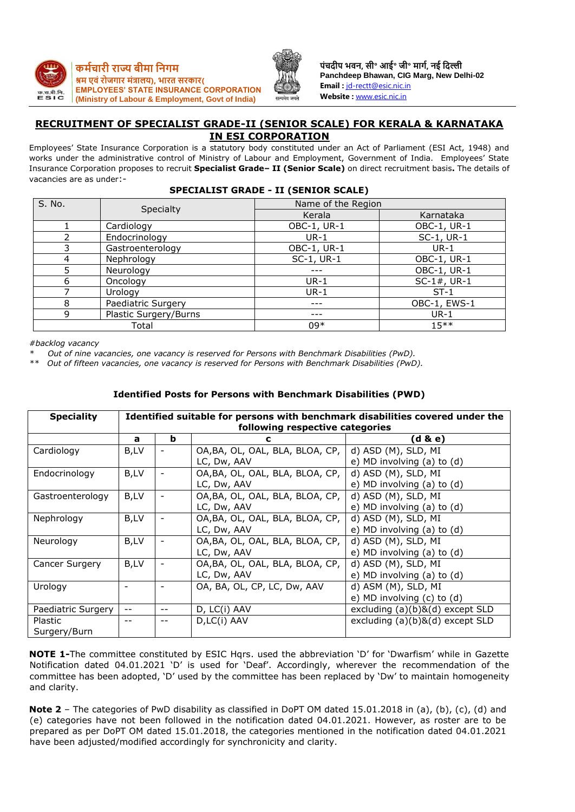



**पंचदीप भवि, सी॰ आई॰ जी॰ र्ागम, िई नदल्ली Panchdeep Bhawan, CIG Marg, New Delhi-02 Email :** [jd-rectt@esic.nic.in](mailto:jd-rectt@esic.nic.in) **Website :** [www.esic.nic.in](http://www.esic.nic.in/)

## **RECRUITMENT OF SPECIALIST GRADE-II (SENIOR SCALE) FOR KERALA & KARNATAKA IN ESI CORPORATION**

Employees' State Insurance Corporation is a statutory body constituted under an Act of Parliament (ESI Act, 1948) and works under the administrative control of Ministry of Labour and Employment, Government of India. Employees' State Insurance Corporation proposes to recruit **Specialist Grade– II (Senior Scale)** on direct recruitment basis**.** The details of vacancies are as under:-

|        | <u>SI LUINLIST GIMBE TI (SENIGN SUNLE)</u> |                    |                |  |  |  |
|--------|--------------------------------------------|--------------------|----------------|--|--|--|
| S. No. | Specialty                                  | Name of the Region |                |  |  |  |
|        |                                            | Kerala             | Karnataka      |  |  |  |
|        | Cardiology                                 | OBC-1, UR-1        | OBC-1, UR-1    |  |  |  |
|        | Endocrinology                              | $UR-1$             | SC-1, UR-1     |  |  |  |
|        | Gastroenterology                           | OBC-1, UR-1        | $UR-1$         |  |  |  |
| 4      | Nephrology                                 | SC-1, UR-1         | OBC-1, UR-1    |  |  |  |
|        | Neurology                                  |                    | OBC-1, UR-1    |  |  |  |
| 6      | Oncology                                   | $UR-1$             | $SC-1#$ , UR-1 |  |  |  |
|        | Urology                                    | $UR-1$             | $ST-1$         |  |  |  |
| Զ      | Paediatric Surgery                         |                    | OBC-1, EWS-1   |  |  |  |
| 9      | Plastic Surgery/Burns                      |                    | $UR-1$         |  |  |  |
|        | Total                                      | $09*$              | $15***$        |  |  |  |

## **SPECIALIST GRADE - II (SENIOR SCALE)**

*#backlog vacancy*

*\* Out of nine vacancies, one vacancy is reserved for Persons with Benchmark Disabilities (PwD).*

*\*\* Out of fifteen vacancies, one vacancy is reserved for Persons with Benchmark Disabilities (PwD).*

| <b>Speciality</b>  | Identified suitable for persons with benchmark disabilities covered under the |                          |                                 |                                       |  |  |
|--------------------|-------------------------------------------------------------------------------|--------------------------|---------------------------------|---------------------------------------|--|--|
|                    |                                                                               |                          | following respective categories |                                       |  |  |
|                    | a                                                                             | b                        | С                               | (d & e)                               |  |  |
| Cardiology         | B,LV                                                                          |                          | OA, BA, OL, OAL, BLA, BLOA, CP, | d) ASD (M), SLD, MI                   |  |  |
|                    |                                                                               |                          | LC, Dw, AAV                     | e) MD involving (a) to (d)            |  |  |
| Endocrinology      | B,LV                                                                          |                          | OA, BA, OL, OAL, BLA, BLOA, CP, | d) ASD (M), SLD, MI                   |  |  |
|                    |                                                                               |                          | LC, Dw, AAV                     | e) MD involving (a) to (d)            |  |  |
| Gastroenterology   | B,LV                                                                          |                          | OA, BA, OL, OAL, BLA, BLOA, CP, | d) ASD (M), SLD, MI                   |  |  |
|                    |                                                                               |                          | LC, Dw, AAV                     | e) MD involving (a) to (d)            |  |  |
| Nephrology         | B,LV                                                                          | $\overline{\phantom{a}}$ | OA, BA, OL, OAL, BLA, BLOA, CP, | d) ASD (M), SLD, MI                   |  |  |
|                    |                                                                               |                          | LC, Dw, AAV                     | e) MD involving (a) to (d)            |  |  |
| Neurology          | B,LV                                                                          |                          | OA, BA, OL, OAL, BLA, BLOA, CP, | d) ASD (M), SLD, MI                   |  |  |
|                    |                                                                               |                          | LC, Dw, AAV                     | e) MD involving (a) to (d)            |  |  |
| Cancer Surgery     | B,LV                                                                          |                          | OA, BA, OL, OAL, BLA, BLOA, CP, | d) ASD (M), SLD, MI                   |  |  |
|                    |                                                                               |                          | LC, Dw, AAV                     | e) MD involving (a) to (d)            |  |  |
| Urology            |                                                                               | $\overline{\phantom{a}}$ | OA, BA, OL, CP, LC, Dw, AAV     | d) ASM (M), SLD, MI                   |  |  |
|                    |                                                                               |                          |                                 | e) MD involving (c) to (d)            |  |  |
| Paediatric Surgery | $- -$                                                                         |                          | D, LC(i) AAV                    | excluding (a)(b)&(d) except SLD       |  |  |
| Plastic            | $- -$                                                                         |                          | D,LC(i) AAV                     | excluding $(a)(b)$ & $(d)$ except SLD |  |  |
| Surgery/Burn       |                                                                               |                          |                                 |                                       |  |  |

#### **Identified Posts for Persons with Benchmark Disabilities (PWD)**

**NOTE 1-**The committee constituted by ESIC Hqrs. used the abbreviation 'D' for 'Dwarfism' while in Gazette Notification dated 04.01.2021 'D' is used for 'Deaf'. Accordingly, wherever the recommendation of the committee has been adopted, 'D' used by the committee has been replaced by 'Dw' to maintain homogeneity and clarity.

**Note 2** – The categories of PwD disability as classified in DoPT OM dated 15.01.2018 in (a), (b), (c), (d) and (e) categories have not been followed in the notification dated 04.01.2021. However, as roster are to be prepared as per DoPT OM dated 15.01.2018, the categories mentioned in the notification dated 04.01.2021 have been adjusted/modified accordingly for synchronicity and clarity.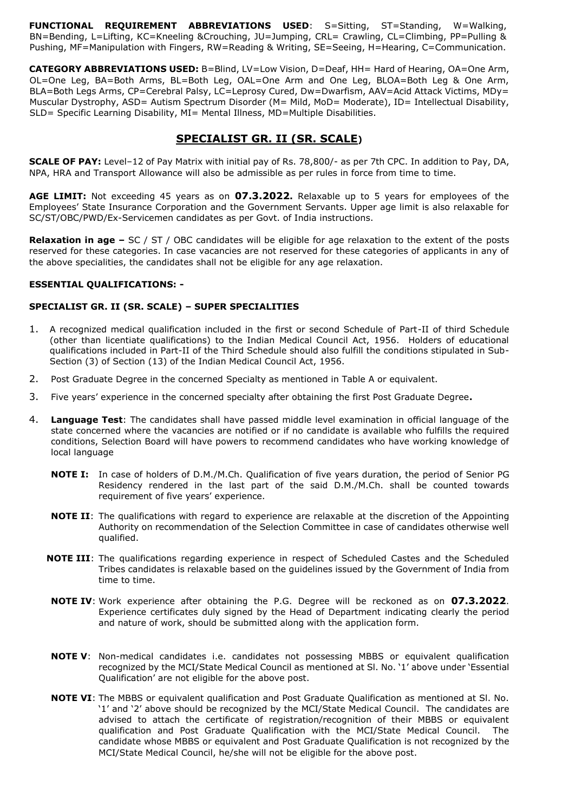**FUNCTIONAL REQUIREMENT ABBREVIATIONS USED**: S=Sitting, ST=Standing, W=Walking, BN=Bending, L=Lifting, KC=Kneeling &Crouching, JU=Jumping, CRL= Crawling, CL=Climbing, PP=Pulling & Pushing, MF=Manipulation with Fingers, RW=Reading & Writing, SE=Seeing, H=Hearing, C=Communication.

**CATEGORY ABBREVIATIONS USED:** B=Blind, LV=Low Vision, D=Deaf, HH= Hard of Hearing, OA=One Arm, OL=One Leg, BA=Both Arms, BL=Both Leg, OAL=One Arm and One Leg, BLOA=Both Leg & One Arm, BLA=Both Legs Arms, CP=Cerebral Palsy, LC=Leprosy Cured, Dw=Dwarfism, AAV=Acid Attack Victims, MDy= Muscular Dystrophy, ASD= Autism Spectrum Disorder (M= Mild, MoD= Moderate), ID= Intellectual Disability, SLD= Specific Learning Disability, MI= Mental Illness, MD=Multiple Disabilities.

# **SPECIALIST GR. II (SR. SCALE)**

**SCALE OF PAY:** Level–12 of Pay Matrix with initial pay of Rs. 78,800/- as per 7th CPC. In addition to Pay, DA, NPA, HRA and Transport Allowance will also be admissible as per rules in force from time to time.

**AGE LIMIT:** Not exceeding 45 years as on **07.3.2022.** Relaxable up to 5 years for employees of the Employees' State Insurance Corporation and the Government Servants. Upper age limit is also relaxable for SC/ST/OBC/PWD/Ex-Servicemen candidates as per Govt. of India instructions.

**Relaxation in age –** SC / ST / OBC candidates will be eligible for age relaxation to the extent of the posts reserved for these categories. In case vacancies are not reserved for these categories of applicants in any of the above specialities, the candidates shall not be eligible for any age relaxation.

## **ESSENTIAL QUALIFICATIONS: -**

## **SPECIALIST GR. II (SR. SCALE) – SUPER SPECIALITIES**

- 1. A recognized medical qualification included in the first or second Schedule of Part-II of third Schedule (other than licentiate qualifications) to the Indian Medical Council Act, 1956. Holders of educational qualifications included in Part-II of the Third Schedule should also fulfill the conditions stipulated in Sub-Section (3) of Section (13) of the Indian Medical Council Act, 1956.
- 2. Post Graduate Degree in the concerned Specialty as mentioned in Table A or equivalent.
- 3. Five years' experience in the concerned specialty after obtaining the first Post Graduate Degree**.**
- 4. **Language Test**: The candidates shall have passed middle level examination in official language of the state concerned where the vacancies are notified or if no candidate is available who fulfills the required conditions, Selection Board will have powers to recommend candidates who have working knowledge of local language
	- **NOTE I:** In case of holders of D.M./M.Ch. Qualification of five years duration, the period of Senior PG Residency rendered in the last part of the said D.M./M.Ch. shall be counted towards requirement of five years' experience.
	- **NOTE II**: The qualifications with regard to experience are relaxable at the discretion of the Appointing Authority on recommendation of the Selection Committee in case of candidates otherwise well qualified.
	- **NOTE III**: The qualifications regarding experience in respect of Scheduled Castes and the Scheduled Tribes candidates is relaxable based on the guidelines issued by the Government of India from time to time.
	- **NOTE IV**: Work experience after obtaining the P.G. Degree will be reckoned as on **07.3.2022**. Experience certificates duly signed by the Head of Department indicating clearly the period and nature of work, should be submitted along with the application form.
	- **NOTE V**: Non-medical candidates i.e. candidates not possessing MBBS or equivalent qualification recognized by the MCI/State Medical Council as mentioned at Sl. No. '1' above under 'Essential Qualification' are not eligible for the above post.
	- **NOTE VI**: The MBBS or equivalent qualification and Post Graduate Qualification as mentioned at Sl. No. '1' and '2' above should be recognized by the MCI/State Medical Council. The candidates are advised to attach the certificate of registration/recognition of their MBBS or equivalent qualification and Post Graduate Qualification with the MCI/State Medical Council. The candidate whose MBBS or equivalent and Post Graduate Qualification is not recognized by the MCI/State Medical Council, he/she will not be eligible for the above post.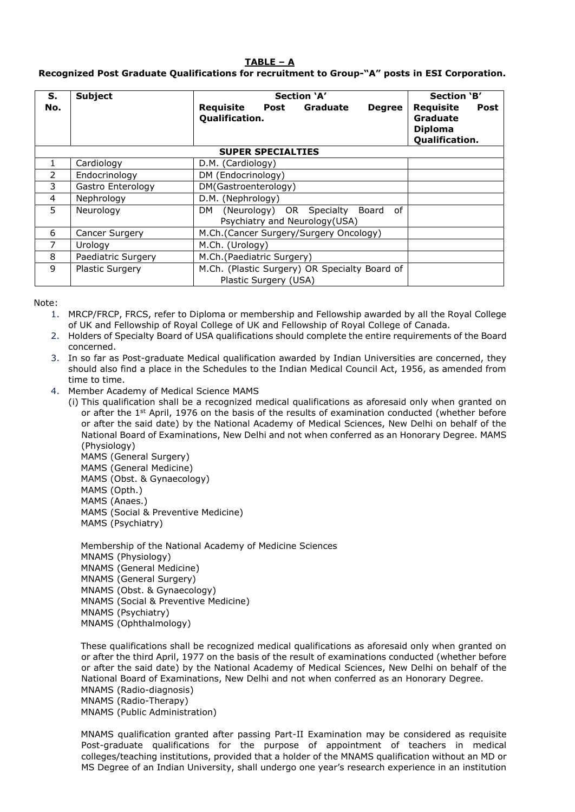## **TABLE – A**

## **Recognized Post Graduate Qualifications for recruitment to Group-"A" posts in ESI Corporation.**

| S.             | <b>Subject</b>         | Section 'A'                                                                 | <b>Section 'B'</b>                                                       |
|----------------|------------------------|-----------------------------------------------------------------------------|--------------------------------------------------------------------------|
| No.            |                        | Requisite<br>Post<br>Graduate<br><b>Degree</b><br>Qualification.            | Requisite<br><b>Post</b><br>Graduate<br><b>Diploma</b><br>Qualification. |
|                |                        | <b>SUPER SPECIALTIES</b>                                                    |                                                                          |
| 1              | Cardiology             | D.M. (Cardiology)                                                           |                                                                          |
| $\overline{2}$ | Endocrinology          | DM (Endocrinology)                                                          |                                                                          |
| 3              | Gastro Enterology      | DM(Gastroenterology)                                                        |                                                                          |
| 4              | Nephrology             | D.M. (Nephrology)                                                           |                                                                          |
| 5              | Neurology              | (Neurology) OR Specialty Board<br>of<br>DM<br>Psychiatry and Neurology(USA) |                                                                          |
| 6              | Cancer Surgery         | M.Ch.(Cancer Surgery/Surgery Oncology)                                      |                                                                          |
| 7              | Urology                | M.Ch. (Urology)                                                             |                                                                          |
| 8              | Paediatric Surgery     | M.Ch.(Paediatric Surgery)                                                   |                                                                          |
| 9              | <b>Plastic Surgery</b> | M.Ch. (Plastic Surgery) OR Specialty Board of<br>Plastic Surgery (USA)      |                                                                          |

Note:

- 1. MRCP/FRCP, FRCS, refer to Diploma or membership and Fellowship awarded by all the Royal College of UK and Fellowship of Royal College of UK and Fellowship of Royal College of Canada.
- 2. Holders of Specialty Board of USA qualifications should complete the entire requirements of the Board concerned.
- 3. In so far as Post-graduate Medical qualification awarded by Indian Universities are concerned, they should also find a place in the Schedules to the Indian Medical Council Act, 1956, as amended from time to time.
- 4. Member Academy of Medical Science MAMS
	- (i) This qualification shall be a recognized medical qualifications as aforesaid only when granted on or after the 1<sup>st</sup> April, 1976 on the basis of the results of examination conducted (whether before or after the said date) by the National Academy of Medical Sciences, New Delhi on behalf of the National Board of Examinations, New Delhi and not when conferred as an Honorary Degree. MAMS (Physiology)
		- MAMS (General Surgery) MAMS (General Medicine) MAMS (Obst. & Gynaecology) MAMS (Opth.) MAMS (Anaes.) MAMS (Social & Preventive Medicine) MAMS (Psychiatry)

Membership of the National Academy of Medicine Sciences MNAMS (Physiology) MNAMS (General Medicine) MNAMS (General Surgery) MNAMS (Obst. & Gynaecology) MNAMS (Social & Preventive Medicine) MNAMS (Psychiatry) MNAMS (Ophthalmology)

These qualifications shall be recognized medical qualifications as aforesaid only when granted on or after the third April, 1977 on the basis of the result of examinations conducted (whether before or after the said date) by the National Academy of Medical Sciences, New Delhi on behalf of the National Board of Examinations, New Delhi and not when conferred as an Honorary Degree. MNAMS (Radio-diagnosis) MNAMS (Radio-Therapy) MNAMS (Public Administration)

MNAMS qualification granted after passing Part-II Examination may be considered as requisite Post-graduate qualifications for the purpose of appointment of teachers in medical colleges/teaching institutions, provided that a holder of the MNAMS qualification without an MD or MS Degree of an Indian University, shall undergo one year's research experience in an institution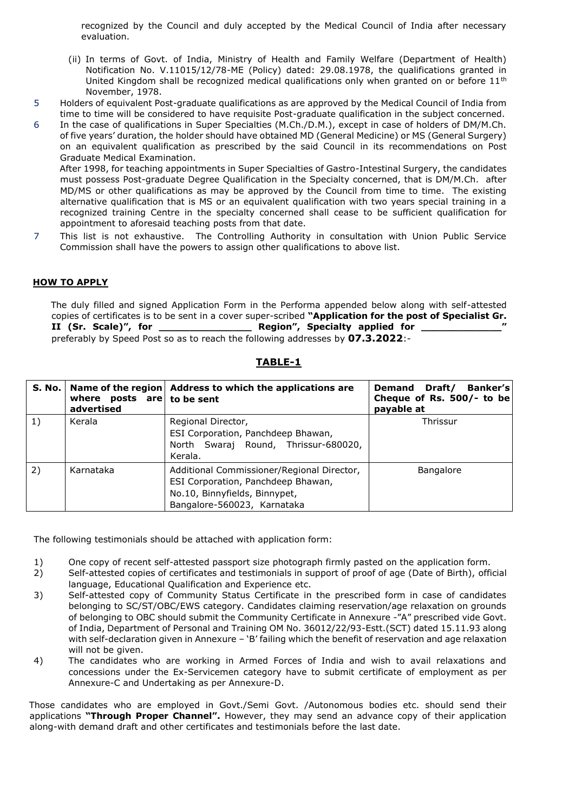recognized by the Council and duly accepted by the Medical Council of India after necessary evaluation.

- (ii) In terms of Govt. of India, Ministry of Health and Family Welfare (Department of Health) Notification No. V.11015/12/78-ME (Policy) dated: 29.08.1978, the qualifications granted in United Kingdom shall be recognized medical qualifications only when granted on or before  $11<sup>th</sup>$ November, 1978.
- 5 Holders of equivalent Post-graduate qualifications as are approved by the Medical Council of India from time to time will be considered to have requisite Post-graduate qualification in the subject concerned.
- 6 In the case of qualifications in Super Specialties (M.Ch./D.M.), except in case of holders of DM/M.Ch. of five years' duration, the holder should have obtained MD (General Medicine) or MS (General Surgery) on an equivalent qualification as prescribed by the said Council in its recommendations on Post Graduate Medical Examination. After 1998, for teaching appointments in Super Specialties of Gastro-Intestinal Surgery, the candidates

must possess Post-graduate Degree Qualification in the Specialty concerned, that is DM/M.Ch. after MD/MS or other qualifications as may be approved by the Council from time to time. The existing alternative qualification that is MS or an equivalent qualification with two years special training in a recognized training Centre in the specialty concerned shall cease to be sufficient qualification for appointment to aforesaid teaching posts from that date.

7 This list is not exhaustive. The Controlling Authority in consultation with Union Public Service Commission shall have the powers to assign other qualifications to above list.

#### **HOW TO APPLY**

The duly filled and signed Application Form in the Performa appended below along with self-attested copies of certificates is to be sent in a cover super-scribed **"Application for the post of Specialist Gr. II (Sr. Scale)", for \_\_\_\_\_\_\_\_\_\_\_\_\_\_\_ Region", Specialty applied for \_\_\_\_\_\_\_\_\_\_\_\_\_"**  preferably by Speed Post so as to reach the following addresses by **07.3.2022**:-

| S. No. | where posts $are \mid to \text{ be sent}$<br>advertised | Name of the region Address to which the applications are                                                                                         | Banker's<br>Demand Draft/<br>Cheque of Rs. 500/- to be<br>payable at |
|--------|---------------------------------------------------------|--------------------------------------------------------------------------------------------------------------------------------------------------|----------------------------------------------------------------------|
| 1)     | Kerala                                                  | Regional Director,<br>ESI Corporation, Panchdeep Bhawan,<br>North Swaraj Round, Thrissur-680020,<br>Kerala.                                      | Thrissur                                                             |
| 2)     | Karnataka                                               | Additional Commissioner/Regional Director,<br>ESI Corporation, Panchdeep Bhawan,<br>No.10, Binnyfields, Binnypet,<br>Bangalore-560023, Karnataka | <b>Bangalore</b>                                                     |

**TABLE-1**

The following testimonials should be attached with application form:

- 1) One copy of recent self-attested passport size photograph firmly pasted on the application form.
- 2) Self-attested copies of certificates and testimonials in support of proof of age (Date of Birth), official language, Educational Qualification and Experience etc.
- 3) Self-attested copy of Community Status Certificate in the prescribed form in case of candidates belonging to SC/ST/OBC/EWS category. Candidates claiming reservation/age relaxation on grounds of belonging to OBC should submit the Community Certificate in Annexure -"A" prescribed vide Govt. of India, Department of Personal and Training OM No. 36012/22/93-Estt.(SCT) dated 15.11.93 along with self-declaration given in Annexure - 'B' failing which the benefit of reservation and age relaxation will not be given.
- 4) The candidates who are working in Armed Forces of India and wish to avail relaxations and concessions under the Ex-Servicemen category have to submit certificate of employment as per Annexure-C and Undertaking as per Annexure-D.

Those candidates who are employed in Govt./Semi Govt. /Autonomous bodies etc. should send their applications **"Through Proper Channel".** However, they may send an advance copy of their application along-with demand draft and other certificates and testimonials before the last date.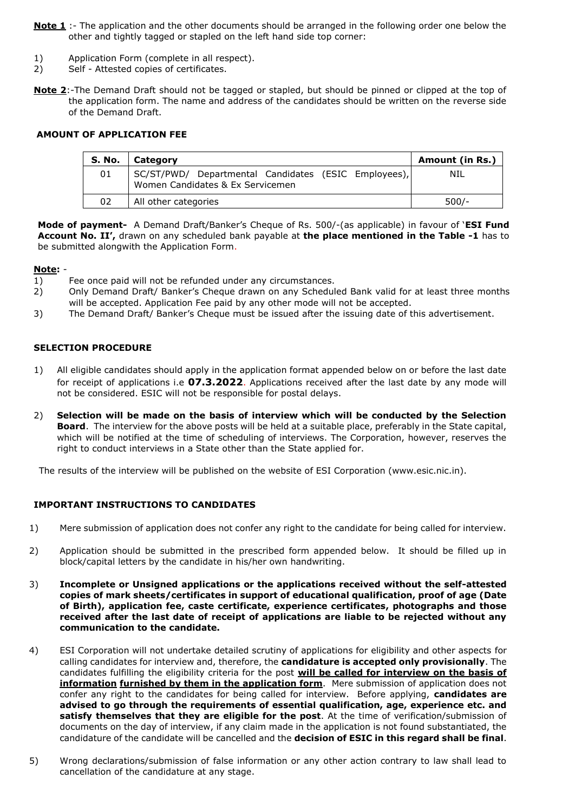- **Note 1** :- The application and the other documents should be arranged in the following order one below the other and tightly tagged or stapled on the left hand side top corner:
- 1) Application Form (complete in all respect).
- 2) Self Attested copies of certificates.
- **Note 2**:-The Demand Draft should not be tagged or stapled, but should be pinned or clipped at the top of the application form. The name and address of the candidates should be written on the reverse side of the Demand Draft.

## **AMOUNT OF APPLICATION FEE**

| S. No. | Category                                                                                 | Amount (in Rs.) |
|--------|------------------------------------------------------------------------------------------|-----------------|
| 01     | SC/ST/PWD/ Departmental Candidates (ESIC Employees),<br>Women Candidates & Ex Servicemen | NIL             |
| 02     | All other categories                                                                     | $500/-$         |

**Mode of payment-** A Demand Draft/Banker's Cheque of Rs. 500/-(as applicable) in favour of '**ESI Fund Account No. II',** drawn on any scheduled bank payable at **the place mentioned in the Table -1** has to be submitted alongwith the Application Form.

#### **Note:** -

- 1) Fee once paid will not be refunded under any circumstances.
- 2) Only Demand Draft/ Banker's Cheque drawn on any Scheduled Bank valid for at least three months will be accepted. Application Fee paid by any other mode will not be accepted.
- 3) The Demand Draft/ Banker's Cheque must be issued after the issuing date of this advertisement.

## **SELECTION PROCEDURE**

- 1) All eligible candidates should apply in the application format appended below on or before the last date for receipt of applications i.e **07.3.2022**. Applications received after the last date by any mode will not be considered. ESIC will not be responsible for postal delays.
- 2) **Selection will be made on the basis of interview which will be conducted by the Selection Board**. The interview for the above posts will be held at a suitable place, preferably in the State capital, which will be notified at the time of scheduling of interviews. The Corporation, however, reserves the right to conduct interviews in a State other than the State applied for.

The results of the interview will be published on the website of ESI Corporation (www.esic.nic.in).

## **IMPORTANT INSTRUCTIONS TO CANDIDATES**

- 1) Mere submission of application does not confer any right to the candidate for being called for interview.
- 2) Application should be submitted in the prescribed form appended below. It should be filled up in block/capital letters by the candidate in his/her own handwriting.
- 3) **Incomplete or Unsigned applications or the applications received without the self-attested copies of mark sheets/certificates in support of educational qualification, proof of age (Date of Birth), application fee, caste certificate, experience certificates, photographs and those received after the last date of receipt of applications are liable to be rejected without any communication to the candidate.**
- 4) ESI Corporation will not undertake detailed scrutiny of applications for eligibility and other aspects for calling candidates for interview and, therefore, the **candidature is accepted only provisionally**. The candidates fulfilling the eligibility criteria for the post **will be called for interview on the basis of information furnished by them in the application form**. Mere submission of application does not confer any right to the candidates for being called for interview. Before applying, **candidates are advised to go through the requirements of essential qualification, age, experience etc. and satisfy themselves that they are eligible for the post**. At the time of verification/submission of documents on the day of interview, if any claim made in the application is not found substantiated, the candidature of the candidate will be cancelled and the **decision of ESIC in this regard shall be final**.
- 5) Wrong declarations/submission of false information or any other action contrary to law shall lead to cancellation of the candidature at any stage.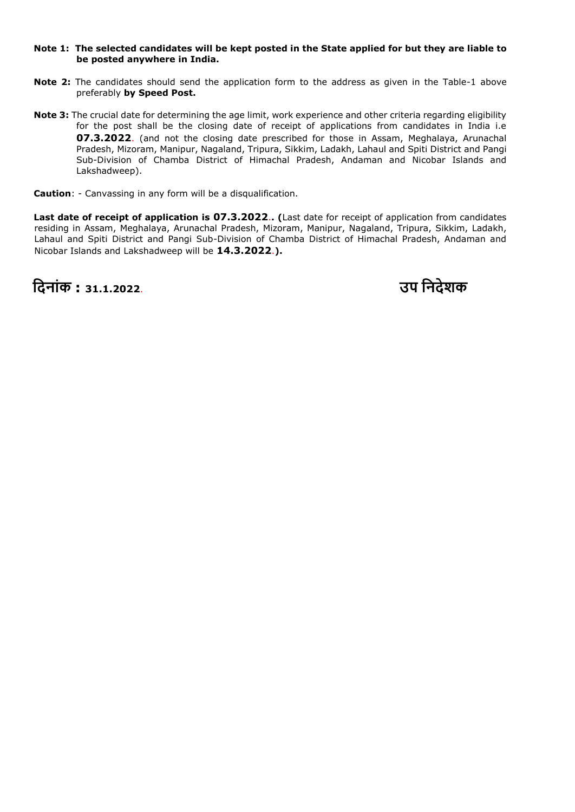#### **Note 1: The selected candidates will be kept posted in the State applied for but they are liable to be posted anywhere in India.**

- **Note 2:** The candidates should send the application form to the address as given in the Table-1 above preferably **by Speed Post.**
- **Note 3:** The crucial date for determining the age limit, work experience and other criteria regarding eligibility for the post shall be the closing date of receipt of applications from candidates in India i.e **07.3.2022**. (and not the closing date prescribed for those in Assam, Meghalaya, Arunachal Pradesh, Mizoram, Manipur, Nagaland, Tripura, Sikkim, Ladakh, Lahaul and Spiti District and Pangi Sub-Division of Chamba District of Himachal Pradesh, Andaman and Nicobar Islands and Lakshadweep).

**Caution**: - Canvassing in any form will be a disqualification.

**Last date of receipt of application is 07.3.2022**.**. (**Last date for receipt of application from candidates residing in Assam, Meghalaya, Arunachal Pradesh, Mizoram, Manipur, Nagaland, Tripura, Sikkim, Ladakh, Lahaul and Spiti District and Pangi Sub-Division of Chamba District of Himachal Pradesh, Andaman and Nicobar Islands and Lakshadweep will be **14.3.2022**.**).** 

**नदिांक : 31.1.2022**. **उप निदेशक**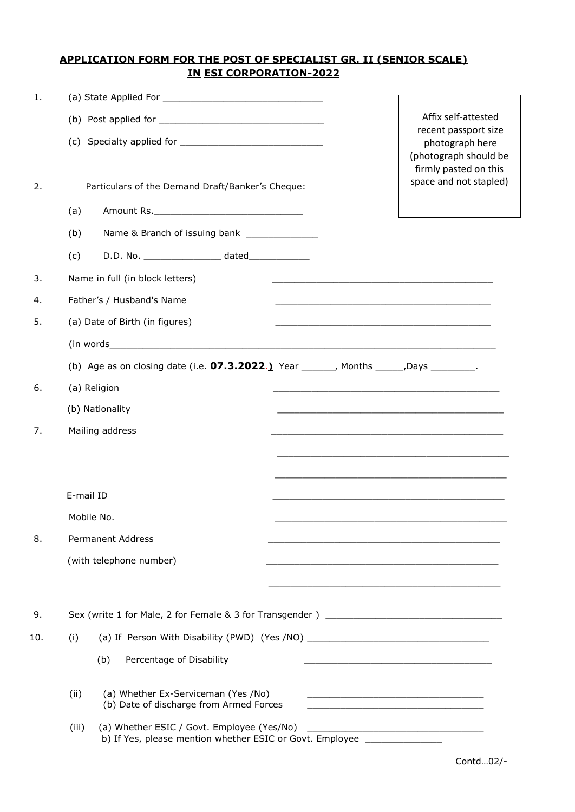## **APPLICATION FORM FOR THE POST OF SPECIALIST GR. II (SENIOR SCALE) IN ESI CORPORATION-2022**

| 1.  |                                                                                                                                                                                                                                |                                                                                                                        |
|-----|--------------------------------------------------------------------------------------------------------------------------------------------------------------------------------------------------------------------------------|------------------------------------------------------------------------------------------------------------------------|
|     |                                                                                                                                                                                                                                | Affix self-attested                                                                                                    |
|     |                                                                                                                                                                                                                                | recent passport size<br>photograph here<br>(photograph should be<br>firmly pasted on this                              |
| 2.  | Particulars of the Demand Draft/Banker's Cheque:                                                                                                                                                                               | space and not stapled)                                                                                                 |
|     | (a)                                                                                                                                                                                                                            |                                                                                                                        |
|     | (b)                                                                                                                                                                                                                            |                                                                                                                        |
|     | (c)                                                                                                                                                                                                                            |                                                                                                                        |
| 3.  | Name in full (in block letters)                                                                                                                                                                                                |                                                                                                                        |
| 4.  | Father's / Husband's Name                                                                                                                                                                                                      |                                                                                                                        |
| 5.  | (a) Date of Birth (in figures)                                                                                                                                                                                                 | <u> 1989 - Johann John Stoff, deutscher Stoffen und der Stoffen und der Stoffen und der Stoffen und der Stoffen un</u> |
|     | (in words) and the contract of the contract of the contract of the contract of the contract of the contract of the contract of the contract of the contract of the contract of the contract of the contract of the contract of |                                                                                                                        |
|     | (b) Age as on closing date (i.e. $07.3.2022.$ ) Year _______, Months ______, Days _________.                                                                                                                                   |                                                                                                                        |
| 6.  | (a) Religion                                                                                                                                                                                                                   | <u> 1989 - Johann John Stone, market fan de Fryske kunstne fan de fan de fan de fan de fan de fan de fan de fan d</u>  |
|     | (b) Nationality                                                                                                                                                                                                                |                                                                                                                        |
| 7.  | Mailing address                                                                                                                                                                                                                | <u> 1989 - Johann John Stone, mensk politik foar it fan it fan it fan it fan it fan it fan it fan it fan it fan i</u>  |
|     |                                                                                                                                                                                                                                |                                                                                                                        |
|     |                                                                                                                                                                                                                                |                                                                                                                        |
|     | E-mail ID                                                                                                                                                                                                                      |                                                                                                                        |
|     | Mobile No.                                                                                                                                                                                                                     |                                                                                                                        |
| 8.  | <b>Permanent Address</b>                                                                                                                                                                                                       |                                                                                                                        |
|     | (with telephone number)                                                                                                                                                                                                        |                                                                                                                        |
|     |                                                                                                                                                                                                                                |                                                                                                                        |
| 9.  |                                                                                                                                                                                                                                |                                                                                                                        |
| 10. | (a) If Person With Disability (PWD) (Yes /NO) __________________________________<br>(i)                                                                                                                                        |                                                                                                                        |
|     | Percentage of Disability<br>(b)                                                                                                                                                                                                | <u> 1989 - Johann John Stone, mars and de British and de British and de British and de British and de British an</u>   |
|     | (a) Whether Ex-Serviceman (Yes /No)<br>(ii)<br>(b) Date of discharge from Armed Forces                                                                                                                                         | <u> 1989 - Johann Barn, amerikansk politiker (d. 1989)</u>                                                             |
|     | (iii)<br>b) If Yes, please mention whether ESIC or Govt. Employee _______________                                                                                                                                              |                                                                                                                        |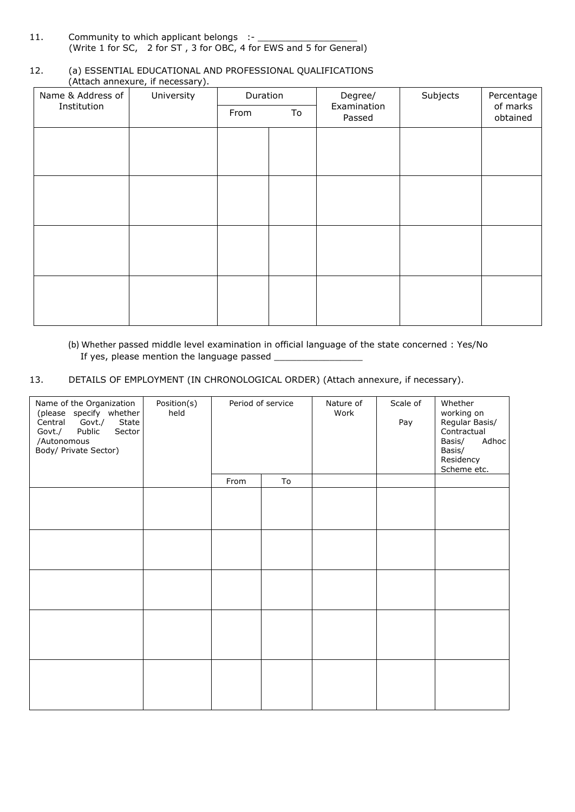11. Community to which applicant belongs :-(Write 1 for SC, 2 for ST , 3 for OBC, 4 for EWS and 5 for General)

#### 12. (a) ESSENTIAL EDUCATIONAL AND PROFESSIONAL QUALIFICATIONS (Attach annexure, if necessary).

| Name & Address of | University | Duration |    | Degree/               | Subjects | Percentage           |
|-------------------|------------|----------|----|-----------------------|----------|----------------------|
| Institution       |            | From     | To | Examination<br>Passed |          | of marks<br>obtained |
|                   |            |          |    |                       |          |                      |
|                   |            |          |    |                       |          |                      |
|                   |            |          |    |                       |          |                      |
|                   |            |          |    |                       |          |                      |
|                   |            |          |    |                       |          |                      |
|                   |            |          |    |                       |          |                      |
|                   |            |          |    |                       |          |                      |
|                   |            |          |    |                       |          |                      |

## (b) Whether passed middle level examination in official language of the state concerned : Yes/No If yes, please mention the language passed \_

13. DETAILS OF EMPLOYMENT (IN CHRONOLOGICAL ORDER) (Attach annexure, if necessary).

| Name of the Organization<br>(please specify whether<br>Govt./<br>State<br>Central<br>Govt./<br>Public<br>Sector<br>/Autonomous<br>Body/ Private Sector) | Position(s)<br>held |      | Period of service | Nature of<br>Work | Scale of<br>Pay | Whether<br>working on<br>Regular Basis/<br>Contractual<br>Adhoc<br>Basis/<br>Basis/<br>Residency<br>Scheme etc. |
|---------------------------------------------------------------------------------------------------------------------------------------------------------|---------------------|------|-------------------|-------------------|-----------------|-----------------------------------------------------------------------------------------------------------------|
|                                                                                                                                                         |                     | From | To                |                   |                 |                                                                                                                 |
|                                                                                                                                                         |                     |      |                   |                   |                 |                                                                                                                 |
|                                                                                                                                                         |                     |      |                   |                   |                 |                                                                                                                 |
|                                                                                                                                                         |                     |      |                   |                   |                 |                                                                                                                 |
|                                                                                                                                                         |                     |      |                   |                   |                 |                                                                                                                 |
|                                                                                                                                                         |                     |      |                   |                   |                 |                                                                                                                 |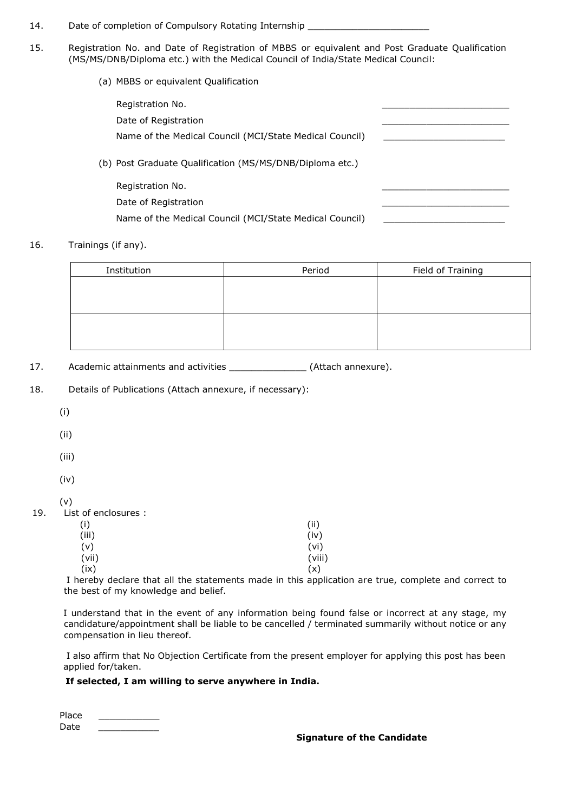- 14. Date of completion of Compulsory Rotating Internship \_\_\_\_\_\_\_\_\_\_\_\_\_\_\_\_\_\_\_\_\_\_\_
- 15. Registration No. and Date of Registration of MBBS or equivalent and Post Graduate Qualification (MS/MS/DNB/Diploma etc.) with the Medical Council of India/State Medical Council:
	- (a) MBBS or equivalent Qualification

| Registration No.                                         |  |
|----------------------------------------------------------|--|
| Date of Registration                                     |  |
| Name of the Medical Council (MCI/State Medical Council)  |  |
| (b) Post Graduate Qualification (MS/MS/DNB/Diploma etc.) |  |
| Registration No.                                         |  |
| Date of Registration                                     |  |
| Name of the Medical Council (MCI/State Medical Council)  |  |

#### 16. Trainings (if any).

| Institution | Period | Field of Training |
|-------------|--------|-------------------|
|             |        |                   |
|             |        |                   |
|             |        |                   |
|             |        |                   |
|             |        |                   |
|             |        |                   |

17. Academic attainments and activities \_\_\_\_\_\_\_\_\_\_\_\_\_\_\_ (Attach annexure).

- 18. Details of Publications (Attach annexure, if necessary):
	- (i)
	- (ii)
	- (iii)
	- (iv)
	- (v)

#### 19. List of enclosures :

| (i)<br>(iii) | (ii)<br>(iv) |
|--------------|--------------|
| (v)          | (vi)         |
| (vii)        | (viii)       |
| (ix)         | (x)          |

I hereby declare that all the statements made in this application are true, complete and correct to the best of my knowledge and belief.

I understand that in the event of any information being found false or incorrect at any stage, my candidature/appointment shall be liable to be cancelled / terminated summarily without notice or any compensation in lieu thereof.

I also affirm that No Objection Certificate from the present employer for applying this post has been applied for/taken.

### **If selected, I am willing to serve anywhere in India.**

Place Date \_\_\_\_\_\_\_\_\_\_\_

#### **Signature of the Candidate**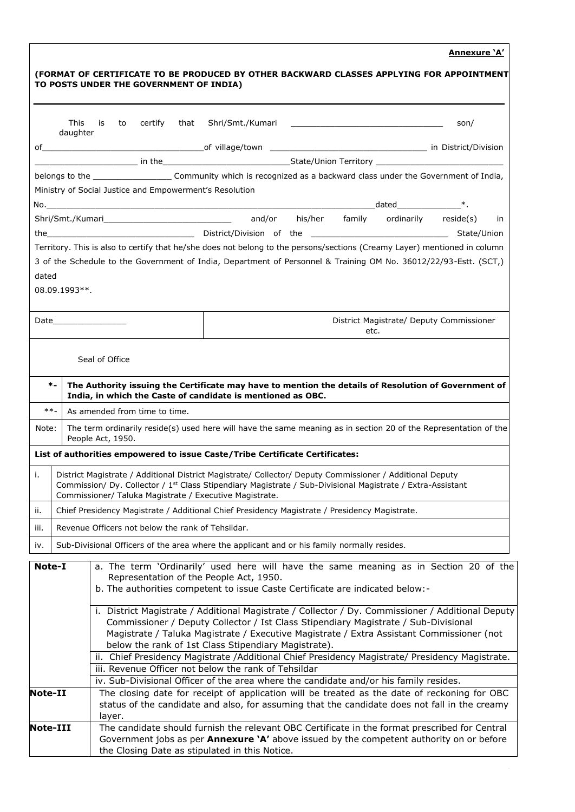## **Annexure 'A'**

|          | <b>This</b><br>daughter                                                                                                                                                                                                        | is                            | to certify | that | Shri/Smt./Kumari                                                                                                                                                                                                                                                                                                                              |      | son/                                     |
|----------|--------------------------------------------------------------------------------------------------------------------------------------------------------------------------------------------------------------------------------|-------------------------------|------------|------|-----------------------------------------------------------------------------------------------------------------------------------------------------------------------------------------------------------------------------------------------------------------------------------------------------------------------------------------------|------|------------------------------------------|
|          |                                                                                                                                                                                                                                |                               |            |      |                                                                                                                                                                                                                                                                                                                                               |      |                                          |
|          |                                                                                                                                                                                                                                |                               |            |      | <u>____________________</u> in the________________________________State/Union Territory _________________________________                                                                                                                                                                                                                     |      |                                          |
|          |                                                                                                                                                                                                                                |                               |            |      | belongs to the ________________________Community which is recognized as a backward class under the Government of India,                                                                                                                                                                                                                       |      |                                          |
|          |                                                                                                                                                                                                                                |                               |            |      | Ministry of Social Justice and Empowerment's Resolution                                                                                                                                                                                                                                                                                       |      |                                          |
|          |                                                                                                                                                                                                                                |                               |            |      |                                                                                                                                                                                                                                                                                                                                               |      |                                          |
|          |                                                                                                                                                                                                                                |                               |            |      | Shri/Smt./Kumari________________________________ and/or his/her family ordinarily reside(s)                                                                                                                                                                                                                                                   |      | in in                                    |
|          |                                                                                                                                                                                                                                |                               |            |      | the <b>Example 20</b> District/Division of the <b>Example 20 State/Union</b> State/Union                                                                                                                                                                                                                                                      |      |                                          |
|          |                                                                                                                                                                                                                                |                               |            |      | Territory. This is also to certify that he/she does not belong to the persons/sections (Creamy Layer) mentioned in column                                                                                                                                                                                                                     |      |                                          |
|          |                                                                                                                                                                                                                                |                               |            |      | 3 of the Schedule to the Government of India, Department of Personnel & Training OM No. 36012/22/93-Estt. (SCT,)                                                                                                                                                                                                                              |      |                                          |
|          |                                                                                                                                                                                                                                |                               |            |      |                                                                                                                                                                                                                                                                                                                                               |      |                                          |
| dated    |                                                                                                                                                                                                                                |                               |            |      |                                                                                                                                                                                                                                                                                                                                               |      |                                          |
|          | $08.09.1993**$ .                                                                                                                                                                                                               |                               |            |      |                                                                                                                                                                                                                                                                                                                                               |      |                                          |
|          |                                                                                                                                                                                                                                |                               |            |      |                                                                                                                                                                                                                                                                                                                                               |      |                                          |
|          | Date and the second second second second second second second second second second second second second second second second second second second second second second second second second second second second second second |                               |            |      |                                                                                                                                                                                                                                                                                                                                               |      | District Magistrate/ Deputy Commissioner |
|          |                                                                                                                                                                                                                                |                               |            |      |                                                                                                                                                                                                                                                                                                                                               | etc. |                                          |
|          |                                                                                                                                                                                                                                | Seal of Office                |            |      |                                                                                                                                                                                                                                                                                                                                               |      |                                          |
| $\ast$ . |                                                                                                                                                                                                                                |                               |            |      | The Authority issuing the Certificate may have to mention the details of Resolution of Government of                                                                                                                                                                                                                                          |      |                                          |
|          |                                                                                                                                                                                                                                |                               |            |      | India, in which the Caste of candidate is mentioned as OBC.                                                                                                                                                                                                                                                                                   |      |                                          |
| $***-$   |                                                                                                                                                                                                                                | As amended from time to time. |            |      |                                                                                                                                                                                                                                                                                                                                               |      |                                          |
| Note:    |                                                                                                                                                                                                                                | People Act, 1950.             |            |      | The term ordinarily reside(s) used here will have the same meaning as in section 20 of the Representation of the                                                                                                                                                                                                                              |      |                                          |
|          |                                                                                                                                                                                                                                |                               |            |      | List of authorities empowered to issue Caste/Tribe Certificate Certificates:                                                                                                                                                                                                                                                                  |      |                                          |
| i.       |                                                                                                                                                                                                                                |                               |            |      | District Magistrate / Additional District Magistrate/ Collector/ Deputy Commissioner / Additional Deputy<br>Commission/ Dy. Collector / 1 <sup>st</sup> Class Stipendiary Magistrate / Sub-Divisional Magistrate / Extra-Assistant<br>Commissioner/ Taluka Magistrate / Executive Magistrate.                                                 |      |                                          |
| ii.      |                                                                                                                                                                                                                                |                               |            |      | Chief Presidency Magistrate / Additional Chief Presidency Magistrate / Presidency Magistrate.                                                                                                                                                                                                                                                 |      |                                          |
| iii.     |                                                                                                                                                                                                                                |                               |            |      | Revenue Officers not below the rank of Tehsildar.                                                                                                                                                                                                                                                                                             |      |                                          |
|          |                                                                                                                                                                                                                                |                               |            |      |                                                                                                                                                                                                                                                                                                                                               |      |                                          |
| iv.      |                                                                                                                                                                                                                                |                               |            |      | Sub-Divisional Officers of the area where the applicant and or his family normally resides.                                                                                                                                                                                                                                                   |      |                                          |
|          |                                                                                                                                                                                                                                |                               |            |      | a. The term 'Ordinarily' used here will have the same meaning as in Section 20 of the<br>Representation of the People Act, 1950.                                                                                                                                                                                                              |      |                                          |
|          |                                                                                                                                                                                                                                |                               |            |      | b. The authorities competent to issue Caste Certificate are indicated below:-                                                                                                                                                                                                                                                                 |      |                                          |
|          |                                                                                                                                                                                                                                |                               |            |      | i. District Magistrate / Additional Magistrate / Collector / Dy. Commissioner / Additional Deputy<br>Commissioner / Deputy Collector / Ist Class Stipendiary Magistrate / Sub-Divisional<br>Magistrate / Taluka Magistrate / Executive Magistrate / Extra Assistant Commissioner (not<br>below the rank of 1st Class Stipendiary Magistrate). |      |                                          |
|          |                                                                                                                                                                                                                                |                               |            |      | ii. Chief Presidency Magistrate /Additional Chief Presidency Magistrate/ Presidency Magistrate.                                                                                                                                                                                                                                               |      |                                          |
|          |                                                                                                                                                                                                                                |                               |            |      | iii. Revenue Officer not below the rank of Tehsildar                                                                                                                                                                                                                                                                                          |      |                                          |
| Note-I   |                                                                                                                                                                                                                                |                               |            |      | iv. Sub-Divisional Officer of the area where the candidate and/or his family resides.                                                                                                                                                                                                                                                         |      |                                          |
| Note-II  |                                                                                                                                                                                                                                | layer.                        |            |      | The closing date for receipt of application will be treated as the date of reckoning for OBC<br>status of the candidate and also, for assuming that the candidate does not fall in the creamy                                                                                                                                                 |      |                                          |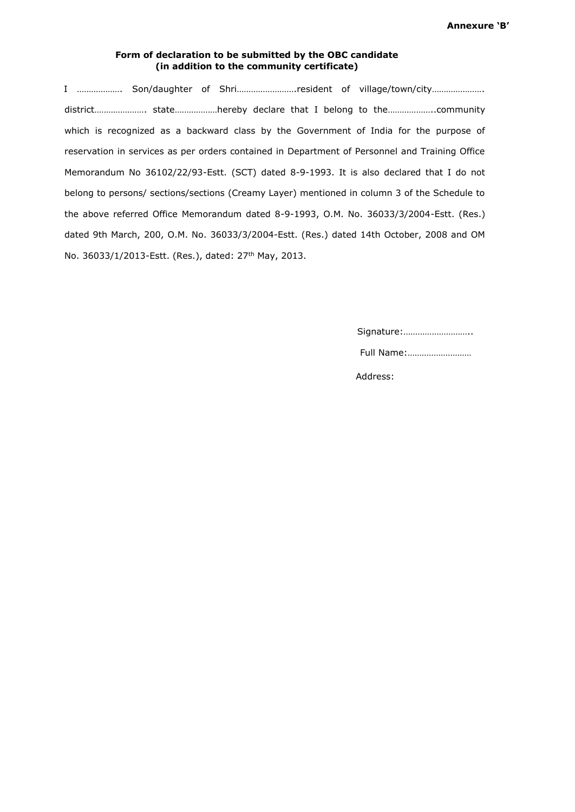#### **Form of declaration to be submitted by the OBC candidate (in addition to the community certificate)**

I ................... Son/daughter of Shri........................resident of village/town/city.................... district…………………. state………………hereby declare that I belong to the………………..community which is recognized as a backward class by the Government of India for the purpose of reservation in services as per orders contained in Department of Personnel and Training Office Memorandum No 36102/22/93-Estt. (SCT) dated 8-9-1993. It is also declared that I do not belong to persons/ sections/sections (Creamy Layer) mentioned in column 3 of the Schedule to the above referred Office Memorandum dated 8-9-1993, O.M. No. 36033/3/2004-Estt. (Res.) dated 9th March, 200, O.M. No. 36033/3/2004-Estt. (Res.) dated 14th October, 2008 and OM No. 36033/1/2013-Estt. (Res.), dated: 27<sup>th</sup> May, 2013.

Signature:………………………..

Full Name:………………………

Address: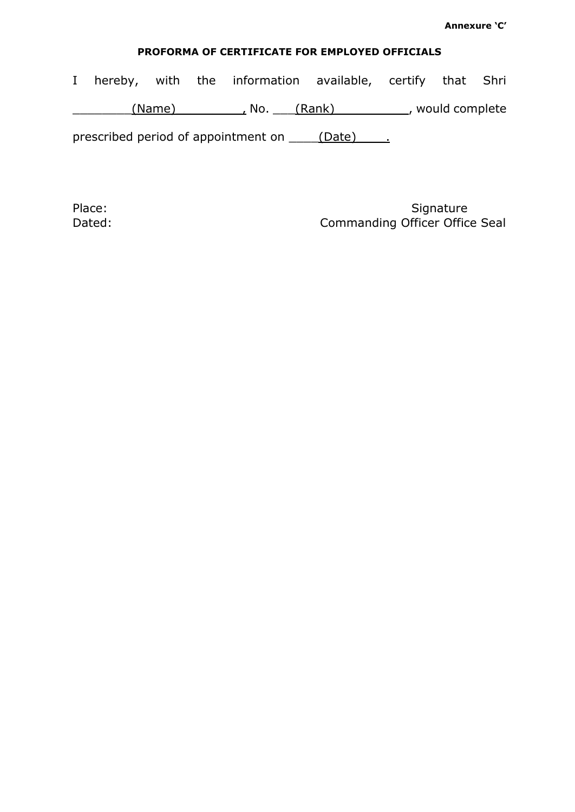# **PROFORMA OF CERTIFICATE FOR EMPLOYED OFFICIALS**

I hereby, with the information available, certify that Shri \_\_\_\_\_\_\_\_(Name)\_\_\_\_\_\_\_\_\_, No. \_\_\_(Rank)\_\_\_\_\_\_\_\_\_\_, would complete

prescribed period of appointment on \_\_\_\_\_(Date) \_\_\_\_.

Place: Signature Signature Place: Dated: Dated: Commanding Officer Office Seal